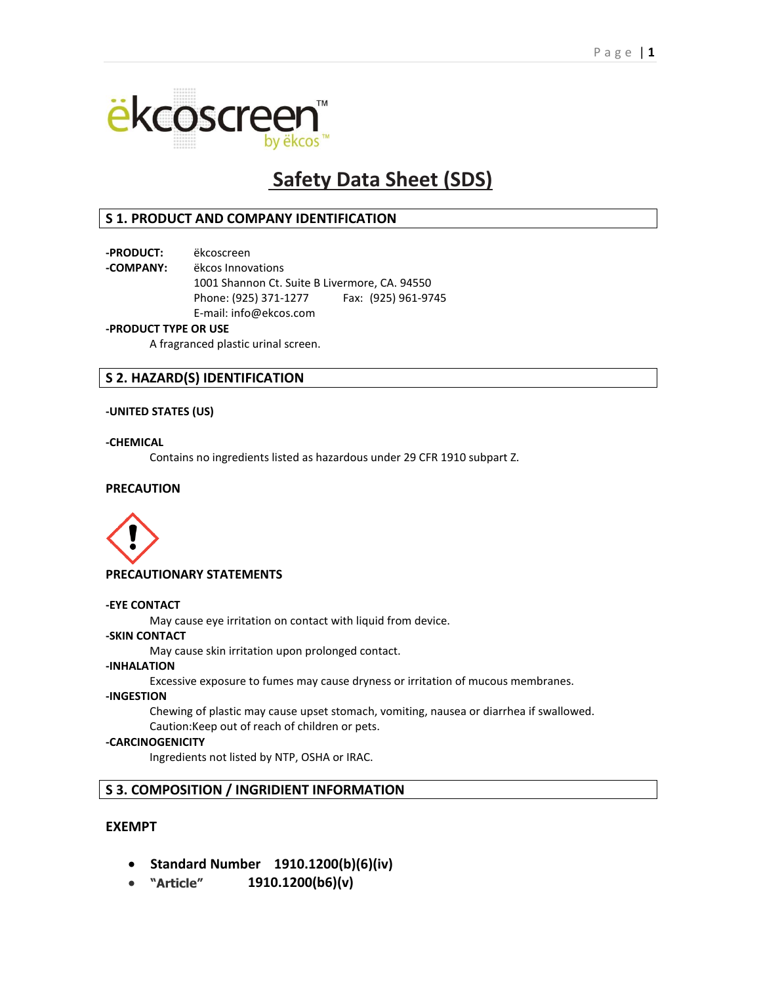

# **Safety Data Sheet (SDS)**

# **S 1. PRODUCT AND COMPANY IDENTIFICATION**

**-PRODUCT:** ëkcoscreen

**-COMPANY:** ëkcos Innovations

1001 Shannon Ct. Suite B Livermore, CA. 94550 Phone: (925) 371-1277 Fax: (925) 961-9745 E-mail: info@ekcos.com

## **-PRODUCT TYPE OR USE**

A fragranced plastic urinal screen.

# **S 2. HAZARD(S) IDENTIFICATION**

## **-UNITED STATES (US)**

## **-CHEMICAL**

Contains no ingredients listed as hazardous under 29 CFR 1910 subpart Z.

# **PRECAUTION**



## **PRECAUTIONARY STATEMENTS**

#### **-EYE CONTACT**

May cause eye irritation on contact with liquid from device.

## **-SKIN CONTACT**

May cause skin irritation upon prolonged contact.

## **-INHALATION**

Excessive exposure to fumes may cause dryness or irritation of mucous membranes.

#### **-INGESTION**

Chewing of plastic may cause upset stomach, vomiting, nausea or diarrhea if swallowed. Caution:Keep out of reach of children or pets.

## **-CARCINOGENICITY**

Ingredients not listed by NTP, OSHA or IRAC.

# **S 3. COMPOSITION / INGRIDIENT INFORMATION**

# **EXEMPT**

- **Standard Number 1910.1200(b)(6)(iv)**
- **"Article" 1910.1200(b6)(v)**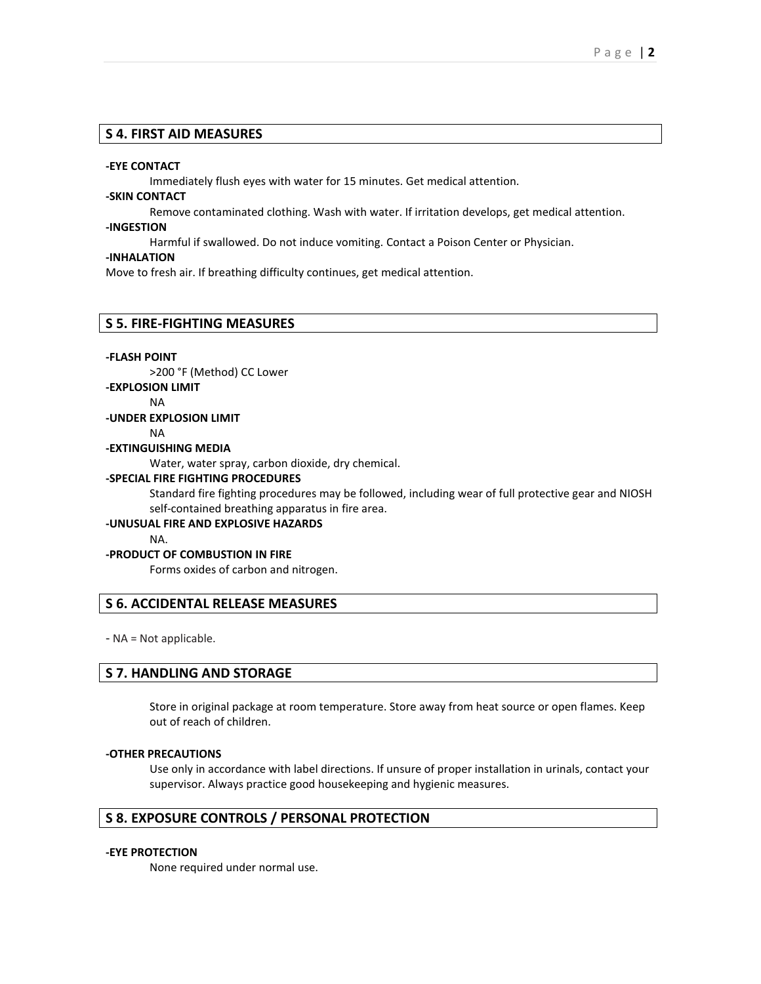# **S 4. FIRST AID MEASURES**

#### **-EYE CONTACT**

Immediately flush eyes with water for 15 minutes. Get medical attention.

# **-SKIN CONTACT**

Remove contaminated clothing. Wash with water. If irritation develops, get medical attention.

#### **-INGESTION**

Harmful if swallowed. Do not induce vomiting. Contact a Poison Center or Physician.

#### **-INHALATION**

Move to fresh air. If breathing difficulty continues, get medical attention.

#### **S 5. FIRE-FIGHTING MEASURES**

#### **-FLASH POINT**

>200 °F (Method) CC Lower

#### **-EXPLOSION LIMIT**

#### NA

# **-UNDER EXPLOSION LIMIT**

NA

#### **-EXTINGUISHING MEDIA**

Water, water spray, carbon dioxide, dry chemical.

#### **-SPECIAL FIRE FIGHTING PROCEDURES**

Standard fire fighting procedures may be followed, including wear of full protective gear and NIOSH self-contained breathing apparatus in fire area.

#### **-UNUSUAL FIRE AND EXPLOSIVE HAZARDS**

NA.

#### **-PRODUCT OF COMBUSTION IN FIRE**

Forms oxides of carbon and nitrogen.

# **S 6. ACCIDENTAL RELEASE MEASURES**

- NA = Not applicable.

## **S 7. HANDLING AND STORAGE**

Store in original package at room temperature. Store away from heat source or open flames. Keep out of reach of children.

#### **-OTHER PRECAUTIONS**

Use only in accordance with label directions. If unsure of proper installation in urinals, contact your supervisor. Always practice good housekeeping and hygienic measures.

# **S 8. EXPOSURE CONTROLS / PERSONAL PROTECTION**

#### **-EYE PROTECTION**

None required under normal use.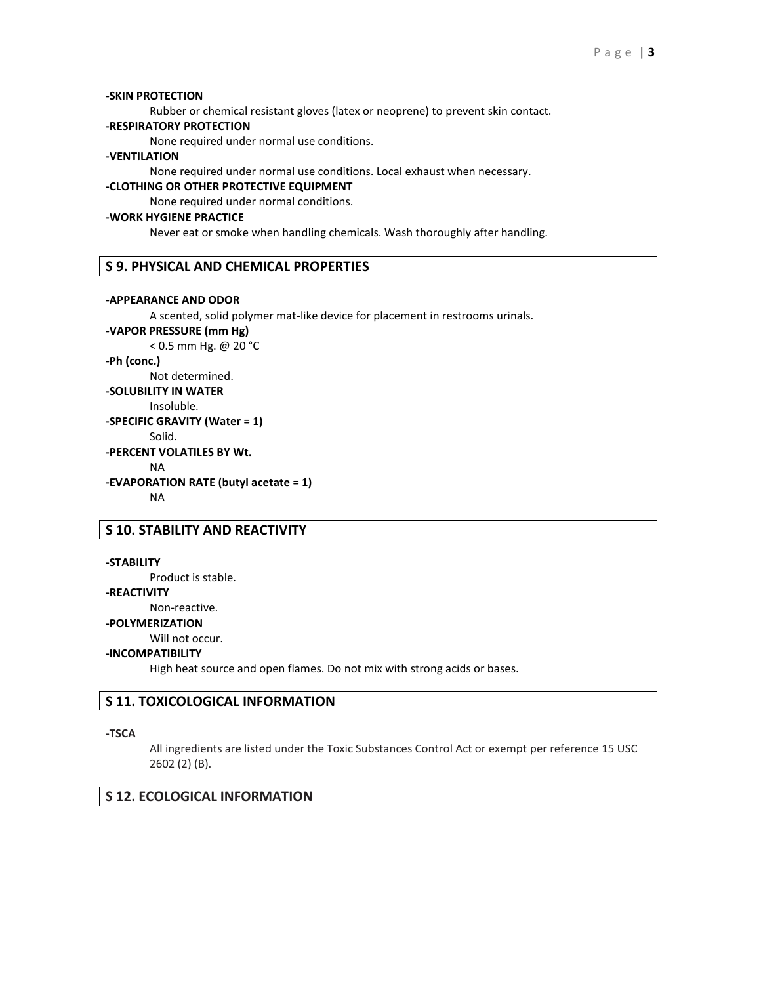#### **-SKIN PROTECTION**

Rubber or chemical resistant gloves (latex or neoprene) to prevent skin contact.

## **-RESPIRATORY PROTECTION**

None required under normal use conditions.

#### **-VENTILATION**

None required under normal use conditions. Local exhaust when necessary.

## **-CLOTHING OR OTHER PROTECTIVE EQUIPMENT**

None required under normal conditions.

## **-WORK HYGIENE PRACTICE**

Never eat or smoke when handling chemicals. Wash thoroughly after handling.

## **S 9. PHYSICAL AND CHEMICAL PROPERTIES**

#### **-APPEARANCE AND ODOR**

A scented, solid polymer mat-like device for placement in restrooms urinals.

**-VAPOR PRESSURE (mm Hg)** < 0.5 mm Hg. @ 20 °C **-Ph (conc.)** Not determined. **-SOLUBILITY IN WATER** Insoluble. **-SPECIFIC GRAVITY (Water = 1)** Solid. **-PERCENT VOLATILES BY Wt.** NA **-EVAPORATION RATE (butyl acetate = 1)** NA

## **S 10. STABILITY AND REACTIVITY**

#### **-STABILITY**

Product is stable.

#### **-REACTIVITY**

Non-reactive.

#### **-POLYMERIZATION**

Will not occur.

#### **-INCOMPATIBILITY**

High heat source and open flames. Do not mix with strong acids or bases.

#### **S 11. TOXICOLOGICAL INFORMATION**

#### **-TSCA**

All ingredients are listed under the Toxic Substances Control Act or exempt per reference 15 USC 2602 (2) (B).

#### **S 12. ECOLOGICAL INFORMATION**